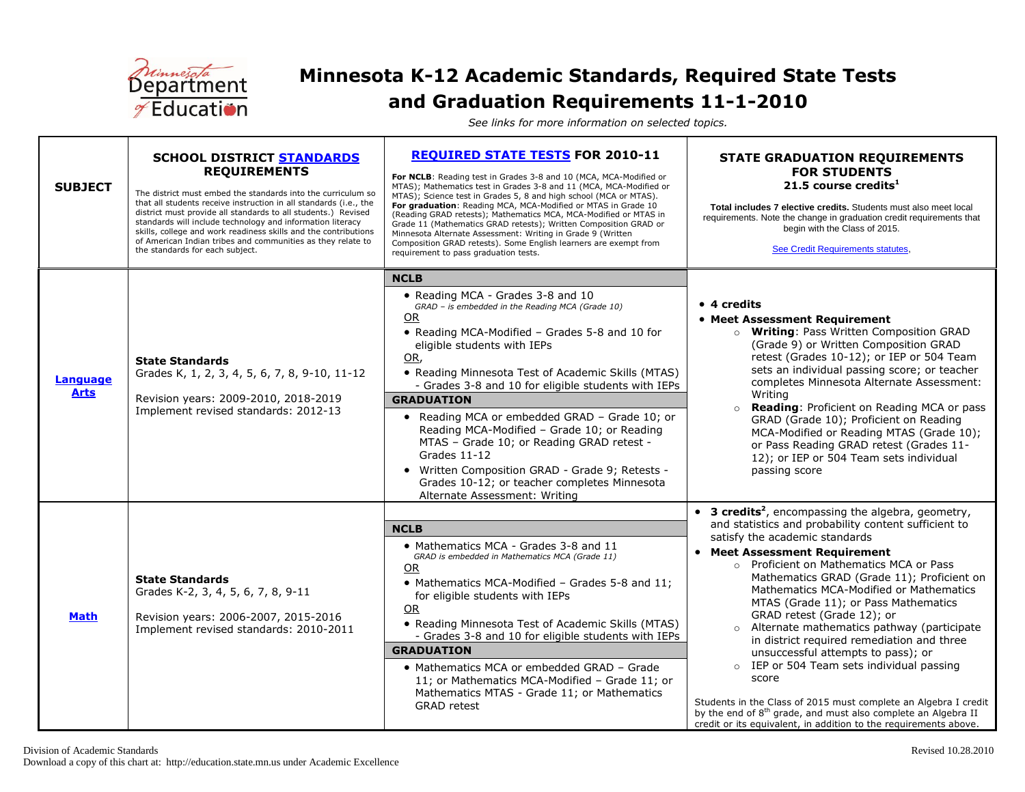

## **Minnesota K-12 Academic Standards, Required State Tests and Graduation Requirements 11-1-2010**

<span id="page-0-0"></span>*See links for more information on selected topics.*

| <b>SUBJECT</b>                 | <b>SCHOOL DISTRICT STANDARDS</b><br><b>REQUIREMENTS</b><br>The district must embed the standards into the curriculum so<br>that all students receive instruction in all standards (i.e., the<br>district must provide all standards to all students.) Revised<br>standards will include technology and information literacy<br>skills, college and work readiness skills and the contributions<br>of American Indian tribes and communities as they relate to<br>the standards for each subject. | <b>REQUIRED STATE TESTS FOR 2010-11</b><br>For NCLB: Reading test in Grades 3-8 and 10 (MCA, MCA-Modified or<br>MTAS); Mathematics test in Grades 3-8 and 11 (MCA, MCA-Modified or<br>MTAS); Science test in Grades 5, 8 and high school (MCA or MTAS).<br>For graduation: Reading MCA, MCA-Modified or MTAS in Grade 10<br>(Reading GRAD retests); Mathematics MCA, MCA-Modified or MTAS in<br>Grade 11 (Mathematics GRAD retests); Written Composition GRAD or<br>Minnesota Alternate Assessment: Writing in Grade 9 (Written<br>Composition GRAD retests). Some English learners are exempt from<br>requirement to pass graduation tests.   | <b>STATE GRADUATION REQUIREMENTS</b><br><b>FOR STUDENTS</b><br>21.5 course credits $1$<br>Total includes 7 elective credits. Students must also meet local<br>requirements. Note the change in graduation credit requirements that<br>begin with the Class of 2015.<br>See Credit Requirements statutes,                                                                                                                                                                                                                                                                                                                                                                                                                                                                                                                   |
|--------------------------------|--------------------------------------------------------------------------------------------------------------------------------------------------------------------------------------------------------------------------------------------------------------------------------------------------------------------------------------------------------------------------------------------------------------------------------------------------------------------------------------------------|------------------------------------------------------------------------------------------------------------------------------------------------------------------------------------------------------------------------------------------------------------------------------------------------------------------------------------------------------------------------------------------------------------------------------------------------------------------------------------------------------------------------------------------------------------------------------------------------------------------------------------------------|----------------------------------------------------------------------------------------------------------------------------------------------------------------------------------------------------------------------------------------------------------------------------------------------------------------------------------------------------------------------------------------------------------------------------------------------------------------------------------------------------------------------------------------------------------------------------------------------------------------------------------------------------------------------------------------------------------------------------------------------------------------------------------------------------------------------------|
| <b>Language</b><br><b>Arts</b> | <b>State Standards</b><br>Grades K, 1, 2, 3, 4, 5, 6, 7, 8, 9-10, 11-12<br>Revision years: 2009-2010, 2018-2019<br>Implement revised standards: 2012-13                                                                                                                                                                                                                                                                                                                                          | <b>NCLB</b><br>• Reading MCA - Grades 3-8 and 10<br>GRAD - is embedded in the Reading MCA (Grade 10)<br><b>OR</b><br>• Reading MCA-Modified - Grades 5-8 and 10 for<br>eligible students with IEPs<br>OR,<br>• Reading Minnesota Test of Academic Skills (MTAS)<br>- Grades 3-8 and 10 for eligible students with IEPs<br><b>GRADUATION</b><br>• Reading MCA or embedded GRAD - Grade 10; or<br>Reading MCA-Modified - Grade 10; or Reading<br>MTAS - Grade 10; or Reading GRAD retest -<br>Grades $11-12$<br>• Written Composition GRAD - Grade 9; Retests -<br>Grades 10-12; or teacher completes Minnesota<br>Alternate Assessment: Writing | • 4 credits<br>• Meet Assessment Requirement<br>o Writing: Pass Written Composition GRAD<br>(Grade 9) or Written Composition GRAD<br>retest (Grades 10-12); or IEP or 504 Team<br>sets an individual passing score; or teacher<br>completes Minnesota Alternate Assessment:<br>Writing<br>o Reading: Proficient on Reading MCA or pass<br>GRAD (Grade 10); Proficient on Reading<br>MCA-Modified or Reading MTAS (Grade 10);<br>or Pass Reading GRAD retest (Grades 11-<br>12); or IEP or 504 Team sets individual<br>passing score                                                                                                                                                                                                                                                                                        |
| <b>Math</b>                    | <b>State Standards</b><br>Grades K-2, 3, 4, 5, 6, 7, 8, 9-11<br>Revision years: 2006-2007, 2015-2016<br>Implement revised standards: 2010-2011                                                                                                                                                                                                                                                                                                                                                   | <b>NCLB</b><br>• Mathematics MCA - Grades 3-8 and 11<br>GRAD is embedded in Mathematics MCA (Grade 11)<br><b>OR</b><br>• Mathematics MCA-Modified - Grades 5-8 and 11;<br>for eligible students with IEPs<br>OR<br>• Reading Minnesota Test of Academic Skills (MTAS)<br>- Grades 3-8 and 10 for eligible students with IEPs<br><b>GRADUATION</b><br>• Mathematics MCA or embedded GRAD - Grade<br>11; or Mathematics MCA-Modified - Grade 11; or<br>Mathematics MTAS - Grade 11; or Mathematics<br><b>GRAD</b> retest                                                                                                                         | • 3 credits <sup>2</sup> , encompassing the algebra, geometry,<br>and statistics and probability content sufficient to<br>satisfy the academic standards<br>• Meet Assessment Requirement<br>o Proficient on Mathematics MCA or Pass<br>Mathematics GRAD (Grade 11); Proficient on<br>Mathematics MCA-Modified or Mathematics<br>MTAS (Grade 11); or Pass Mathematics<br>GRAD retest (Grade 12); or<br>Alternate mathematics pathway (participate<br>$\circ$<br>in district required remediation and three<br>unsuccessful attempts to pass); or<br>o IEP or 504 Team sets individual passing<br>score<br>Students in the Class of 2015 must complete an Algebra I credit<br>by the end of 8 <sup>th</sup> grade, and must also complete an Algebra II<br>credit or its equivalent, in addition to the requirements above. |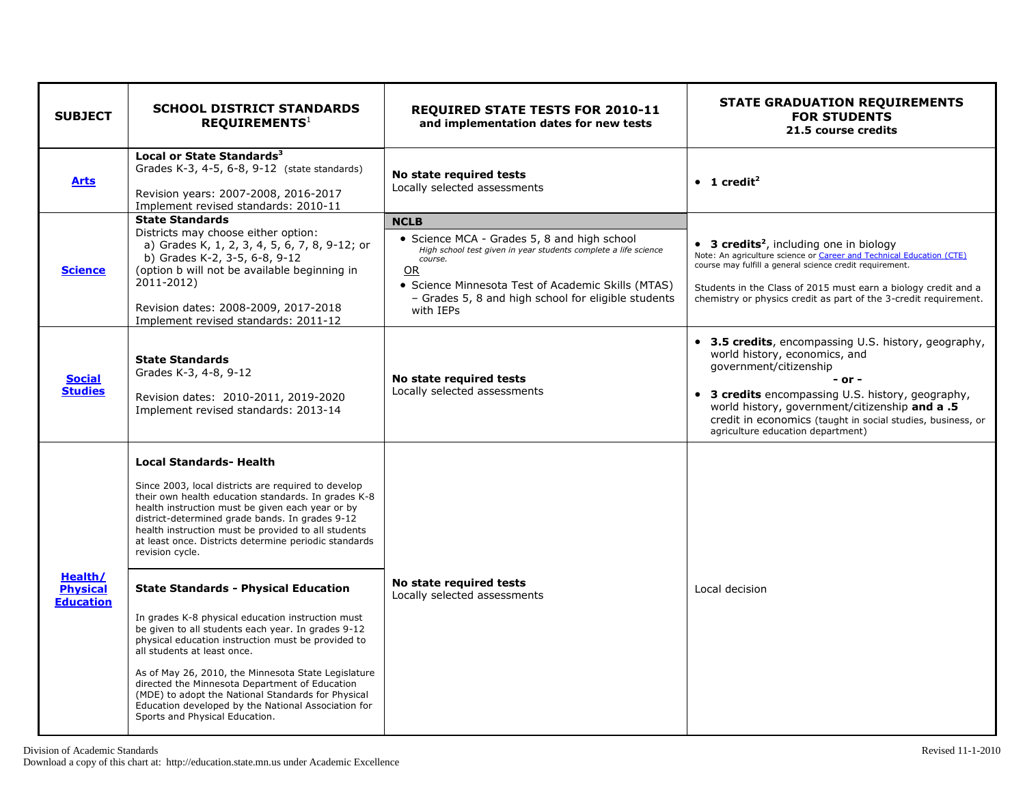| <b>SUBJECT</b>                                 | <b>SCHOOL DISTRICT STANDARDS</b><br>REQUIREMENTS <sup>1</sup>                                                                                                                                                                                                                                                                                                                                                                                                                                                                                                                                                                                                                                                                                                                                                                                                                                 | <b>REQUIRED STATE TESTS FOR 2010-11</b><br>and implementation dates for new tests                                                                                                                                                                                        | <b>STATE GRADUATION REQUIREMENTS</b><br><b>FOR STUDENTS</b><br>21.5 course credits                                                                                                                                                                                                                                                       |
|------------------------------------------------|-----------------------------------------------------------------------------------------------------------------------------------------------------------------------------------------------------------------------------------------------------------------------------------------------------------------------------------------------------------------------------------------------------------------------------------------------------------------------------------------------------------------------------------------------------------------------------------------------------------------------------------------------------------------------------------------------------------------------------------------------------------------------------------------------------------------------------------------------------------------------------------------------|--------------------------------------------------------------------------------------------------------------------------------------------------------------------------------------------------------------------------------------------------------------------------|------------------------------------------------------------------------------------------------------------------------------------------------------------------------------------------------------------------------------------------------------------------------------------------------------------------------------------------|
| <b>Arts</b>                                    | Local or State Standards <sup>3</sup><br>Grades K-3, 4-5, 6-8, 9-12 (state standards)<br>Revision years: 2007-2008, 2016-2017<br>Implement revised standards: 2010-11                                                                                                                                                                                                                                                                                                                                                                                                                                                                                                                                                                                                                                                                                                                         | No state required tests<br>Locally selected assessments                                                                                                                                                                                                                  | $\bullet$ 1 credit <sup>2</sup>                                                                                                                                                                                                                                                                                                          |
| <b>Science</b>                                 | <b>State Standards</b><br>Districts may choose either option:<br>a) Grades K, 1, 2, 3, 4, 5, 6, 7, 8, 9-12; or<br>b) Grades K-2, 3-5, 6-8, 9-12<br>(option b will not be available beginning in<br>2011-2012)<br>Revision dates: 2008-2009, 2017-2018<br>Implement revised standards: 2011-12                                                                                                                                                                                                                                                                                                                                                                                                                                                                                                                                                                                                 | <b>NCLB</b><br>• Science MCA - Grades 5, 8 and high school<br>High school test given in year students complete a life science<br>course.<br>OR<br>• Science Minnesota Test of Academic Skills (MTAS)<br>- Grades 5, 8 and high school for eligible students<br>with IEPs | • 3 credits <sup>2</sup> , including one in biology<br>Note: An agriculture science or Career and Technical Education (CTE)<br>course may fulfill a general science credit requirement.<br>Students in the Class of 2015 must earn a biology credit and a<br>chemistry or physics credit as part of the 3-credit requirement.            |
| <b>Social</b><br><b>Studies</b>                | <b>State Standards</b><br>Grades K-3, 4-8, 9-12<br>Revision dates: 2010-2011, 2019-2020<br>Implement revised standards: 2013-14                                                                                                                                                                                                                                                                                                                                                                                                                                                                                                                                                                                                                                                                                                                                                               | No state required tests<br>Locally selected assessments                                                                                                                                                                                                                  | • 3.5 credits, encompassing U.S. history, geography,<br>world history, economics, and<br>government/citizenship<br>$-$ or $-$<br>• 3 credits encompassing U.S. history, geography,<br>world history, government/citizenship and a .5<br>credit in economics (taught in social studies, business, or<br>agriculture education department) |
| Health/<br><b>Physical</b><br><b>Education</b> | <b>Local Standards- Health</b><br>Since 2003, local districts are required to develop<br>their own health education standards. In grades K-8<br>health instruction must be given each year or by<br>district-determined grade bands. In grades 9-12<br>health instruction must be provided to all students<br>at least once. Districts determine periodic standards<br>revision cycle.<br><b>State Standards - Physical Education</b><br>In grades K-8 physical education instruction must<br>be given to all students each year. In grades 9-12<br>physical education instruction must be provided to<br>all students at least once.<br>As of May 26, 2010, the Minnesota State Legislature<br>directed the Minnesota Department of Education<br>(MDE) to adopt the National Standards for Physical<br>Education developed by the National Association for<br>Sports and Physical Education. | No state required tests<br>Locally selected assessments                                                                                                                                                                                                                  | Local decision                                                                                                                                                                                                                                                                                                                           |